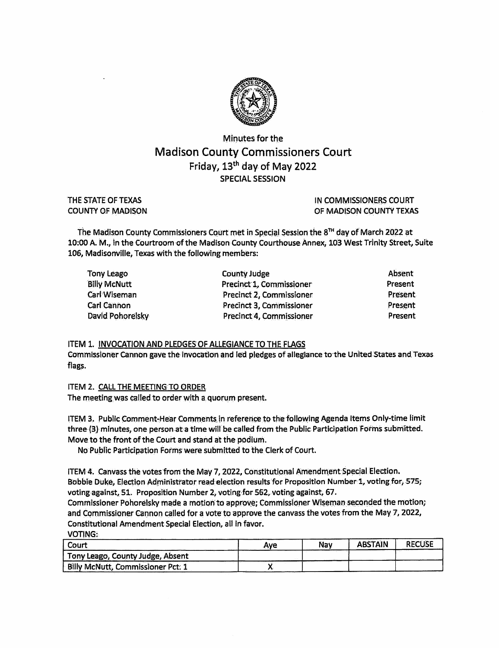

## Minutes for the Madison County Commissioners Court Friday, 13<sup>th</sup> day of May 2022 SPECIAL SESSION

THE STATE OF TEXAS COUNTY OF MADISON IN COMMISSIONERS COURT OF MADISON COUNTY TEXAS

The Madison County Commissioners Court met in Special Session the 8™ day of March 2022 at 10:00 A. M., in the Courtroom of the Madison County Courthouse Annex, 103 West Trinity Street, Suite 106, Madisonville, Texas with the following members:

| Tony Leago          | <b>County Judge</b>      | Absent  |
|---------------------|--------------------------|---------|
| <b>Billy McNutt</b> | Precinct 1, Commissioner | Present |
| Carl Wiseman        | Precinct 2, Commissioner | Present |
| <b>Carl Cannon</b>  | Precinct 3, Commissioner | Present |
| David Pohorelsky    | Precinct 4, Commissioner | Present |

## ITEM 1. INVOCATION AND PLEDGES OF ALLEGIANCE TO THE FLAGS

Gommissioner Cannon gave the Invocation and led pledges of allegiance to the United States and Texas flags.

ITEM 2. CALL THE MEETING TO ORDER

The meeting was called to order with a quorum present,

ITEM 3, Public Comment-Hear Comments in reference to the follovying Agenda Items Only-time limit three {3} minutes, one person at a time will be called from the Public Participation Forms subrnitted. Move to the front of the Court and stand at the podlurh.

No Public Participation Forms were submitted to the Clerk of Court.

ITEM 4. Canvass the votes from the May 7, 2022, Constitutional Amendment Special Election. Bobbie Duke, Election Administrator read election results for Proposition Number 1, voting for, 575; voting against, 51. Proposition Number 2, voting for 562, voting against, 67.

Commissioner Pohorelsky made a motion to approve; Commissioner Wiseman seconded the motion; and Commissioner Cannon called for a vote to approve the canvass the votes from the May 7, 2022, Constitutional Amendment Special Election, all in favor. VOTINCi:

| .<br>l Court                             | Ave | Nav | <b>ABSTAIN</b> | <b>RECUSE</b> |
|------------------------------------------|-----|-----|----------------|---------------|
| Tony Leago, County Judge, Absent         |     |     |                |               |
| <b>Billy McNutt, Commissioner Pct: 1</b> |     |     |                |               |